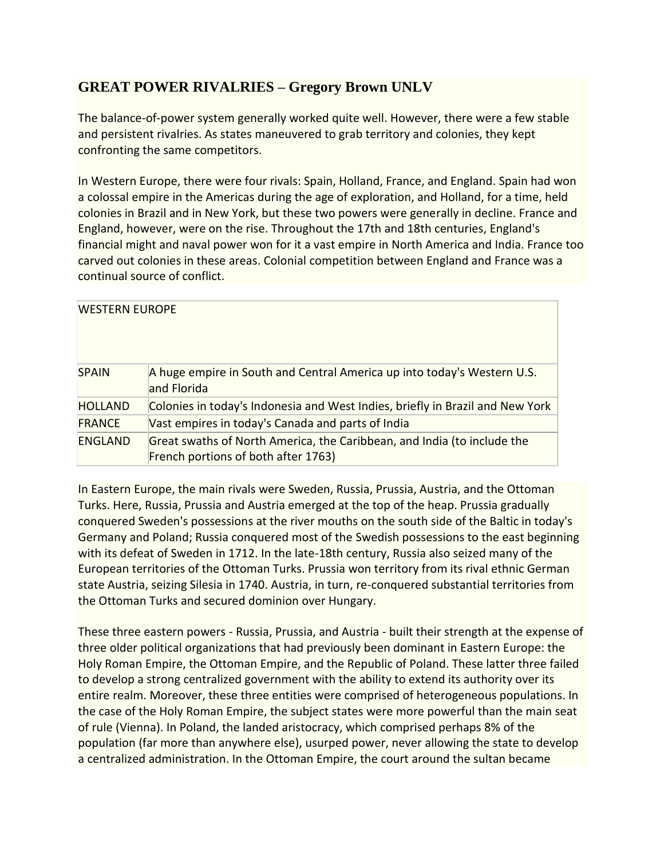## **GREAT POWER RIVALRIES – Gregory Brown UNLV**

The balance-of-power system generally worked quite well. However, there were a few stable and persistent rivalries. As states maneuvered to grab territory and colonies, they kept confronting the same competitors.

In Western Europe, there were four rivals: Spain, Holland, France, and England. Spain had won a colossal empire in the Americas during the age of exploration, and Holland, for a time, held colonies in Brazil and in New York, but these two powers were generally in decline. France and England, however, were on the rise. Throughout the 17th and 18th centuries, England's financial might and naval power won for it a vast empire in North America and India. France too carved out colonies in these areas. Colonial competition between England and France was a continual source of conflict.

| <b>WESTERN EUROPE</b> |                                                                                                                |
|-----------------------|----------------------------------------------------------------------------------------------------------------|
| <b>SPAIN</b>          | A huge empire in South and Central America up into today's Western U.S.<br>and Florida                         |
| <b>HOLLAND</b>        | Colonies in today's Indonesia and West Indies, briefly in Brazil and New York                                  |
| <b>FRANCE</b>         | Vast empires in today's Canada and parts of India                                                              |
| <b>ENGLAND</b>        | Great swaths of North America, the Caribbean, and India (to include the<br>French portions of both after 1763) |

In Eastern Europe, the main rivals were Sweden, Russia, Prussia, Austria, and the Ottoman Turks. Here, Russia, Prussia and Austria emerged at the top of the heap. Prussia gradually conquered Sweden's possessions at the river mouths on the south side of the Baltic in today's Germany and Poland; Russia conquered most of the Swedish possessions to the east beginning with its defeat of Sweden in 1712. In the late-18th century, Russia also seized many of the European territories of the Ottoman Turks. Prussia won territory from its rival ethnic German state Austria, seizing Silesia in 1740. Austria, in turn, re-conquered substantial territories from the Ottoman Turks and secured dominion over Hungary.

These three eastern powers - Russia, Prussia, and Austria - built their strength at the expense of three older political organizations that had previously been dominant in Eastern Europe: the Holy Roman Empire, the Ottoman Empire, and the Republic of Poland. These latter three failed to develop a strong centralized government with the ability to extend its authority over its entire realm. Moreover, these three entities were comprised of heterogeneous populations. In the case of the Holy Roman Empire, the subject states were more powerful than the main seat of rule (Vienna). In Poland, the landed aristocracy, which comprised perhaps 8% of the population (far more than anywhere else), usurped power, never allowing the state to develop a centralized administration. In the Ottoman Empire, the court around the sultan became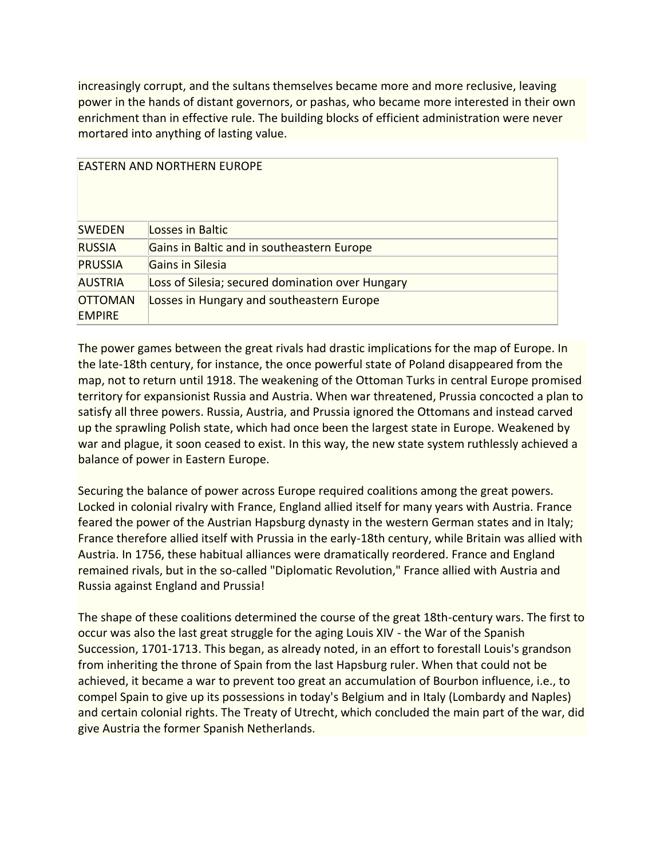increasingly corrupt, and the sultans themselves became more and more reclusive, leaving power in the hands of distant governors, or pashas, who became more interested in their own enrichment than in effective rule. The building blocks of efficient administration were never mortared into anything of lasting value.

| <b>EASTERN AND NORTHERN EUROPE</b> |                                                  |  |
|------------------------------------|--------------------------------------------------|--|
| <b>SWEDEN</b>                      | Losses in Baltic                                 |  |
| <b>RUSSIA</b>                      | Gains in Baltic and in southeastern Europe       |  |
| <b>PRUSSIA</b>                     | Gains in Silesia                                 |  |
| <b>AUSTRIA</b>                     | Loss of Silesia; secured domination over Hungary |  |
| <b>OTTOMAN</b><br><b>EMPIRE</b>    | Losses in Hungary and southeastern Europe        |  |

The power games between the great rivals had drastic implications for the map of Europe. In the late-18th century, for instance, the once powerful state of Poland disappeared from the map, not to return until 1918. The weakening of the Ottoman Turks in central Europe promised territory for expansionist Russia and Austria. When war threatened, Prussia concocted a plan to satisfy all three powers. Russia, Austria, and Prussia ignored the Ottomans and instead carved up the sprawling Polish state, which had once been the largest state in Europe. Weakened by war and plague, it soon ceased to exist. In this way, the new state system ruthlessly achieved a balance of power in Eastern Europe.

Securing the balance of power across Europe required coalitions among the great powers. Locked in colonial rivalry with France, England allied itself for many years with Austria. France feared the power of the Austrian Hapsburg dynasty in the western German states and in Italy; France therefore allied itself with Prussia in the early-18th century, while Britain was allied with Austria. In 1756, these habitual alliances were dramatically reordered. France and England remained rivals, but in the so-called "Diplomatic Revolution," France allied with Austria and Russia against England and Prussia!

The shape of these coalitions determined the course of the great 18th-century wars. The first to occur was also the last great struggle for the aging Louis XIV - the War of the Spanish Succession, 1701-1713. This began, as already noted, in an effort to forestall Louis's grandson from inheriting the throne of Spain from the last Hapsburg ruler. When that could not be achieved, it became a war to prevent too great an accumulation of Bourbon influence, i.e., to compel Spain to give up its possessions in today's Belgium and in Italy (Lombardy and Naples) and certain colonial rights. The Treaty of Utrecht, which concluded the main part of the war, did give Austria the former Spanish Netherlands.